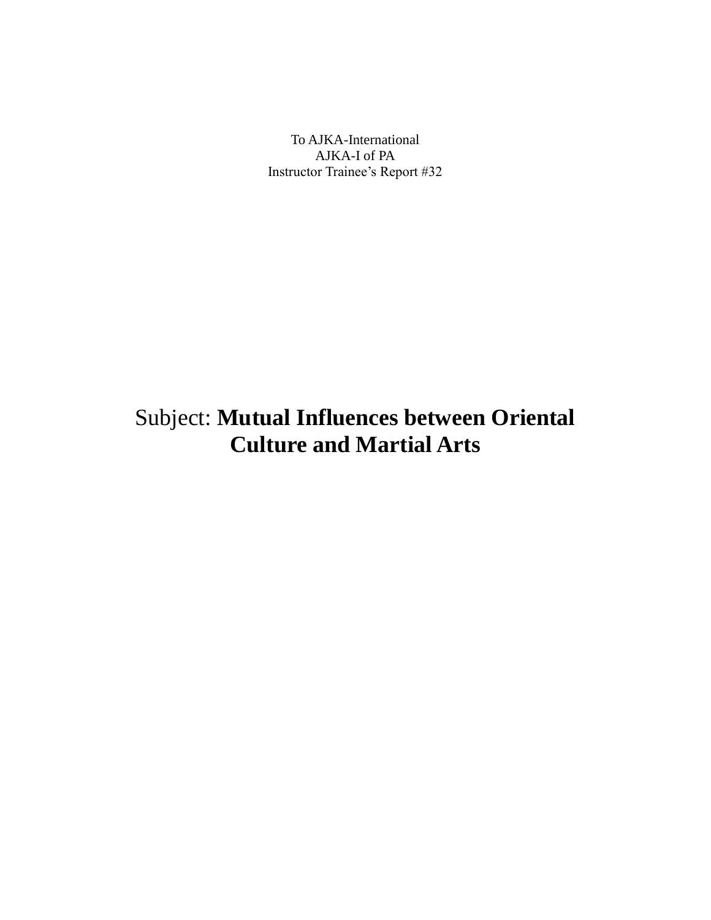To AJKA-International AJKA-I of PA Instructor Trainee's Report #32

## Subject: **Mutual Influences between Oriental Culture and Martial Arts**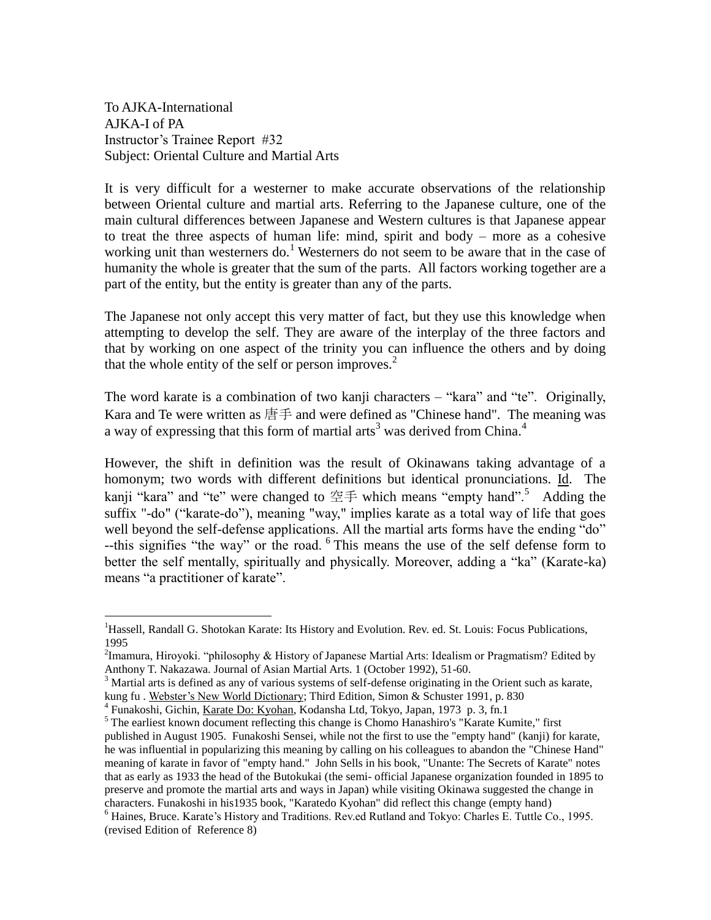To AJKA-International AJKA-I of PA Instructor's Trainee Report #32 Subject: Oriental Culture and Martial Arts

 $\overline{a}$ 

It is very difficult for a westerner to make accurate observations of the relationship between Oriental culture and martial arts. Referring to the Japanese culture, one of the main cultural differences between Japanese and Western cultures is that Japanese appear to treat the three aspects of human life: mind, spirit and body – more as a cohesive working unit than westerners do.<sup>1</sup> Westerners do not seem to be aware that in the case of humanity the whole is greater that the sum of the parts. All factors working together are a part of the entity, but the entity is greater than any of the parts.

The Japanese not only accept this very matter of fact, but they use this knowledge when attempting to develop the self. They are aware of the interplay of the three factors and that by working on one aspect of the trinity you can influence the others and by doing that the whole entity of the self or person improves.<sup>2</sup>

The word karate is a combination of two kanji characters – "kara" and "te". Originally, Kara and Te were written as 唐手 and were defined as "Chinese hand". The meaning was a way of expressing that this form of martial arts<sup>3</sup> was derived from China.<sup>4</sup>

However, the shift in definition was the result of Okinawans taking advantage of a homonym; two words with different definitions but identical pronunciations. Id. The kanji "kara" and "te" were changed to 空手 which means "empty hand".<sup>5</sup> Adding the suffix "-do" ("karate-do"), meaning "way," implies karate as a total way of life that goes well beyond the self-defense applications. All the martial arts forms have the ending "do" --this signifies "the way" or the road. <sup>6</sup> This means the use of the self defense form to better the self mentally, spiritually and physically. Moreover, adding a "ka" (Karate-ka) means "a practitioner of karate".

<sup>&</sup>lt;sup>1</sup>Hassell, Randall G. Shotokan Karate: Its History and Evolution. Rev. ed. St. Louis: Focus Publications, 1995

<sup>&</sup>lt;sup>2</sup>Imamura, Hiroyoki. "philosophy & History of Japanese Martial Arts: Idealism or Pragmatism? Edited by Anthony T. Nakazawa. Journal of Asian Martial Arts. 1 (October 1992), 51-60.

<sup>&</sup>lt;sup>3</sup> Martial arts is defined as any of various systems of self-defense originating in the Orient such as karate, kung fu . Webster's New World Dictionary; Third Edition, Simon & Schuster 1991, p. 830

<sup>4</sup> Funakoshi, Gichin, Karate Do: Kyohan, Kodansha Ltd, Tokyo, Japan, 1973 p. 3, fn.1

<sup>&</sup>lt;sup>5</sup> The earliest known document reflecting this change is Chomo Hanashiro's "Karate Kumite," first published in August 1905. Funakoshi Sensei, while not the first to use the "empty hand" (kanji) for karate, he was influential in popularizing this meaning by calling on his colleagues to abandon the "Chinese Hand" meaning of karate in favor of "empty hand." John Sells in his book, "Unante: The Secrets of Karate" notes that as early as 1933 the head of the Butokukai (the semi- official Japanese organization founded in 1895 to preserve and promote the martial arts and ways in Japan) while visiting Okinawa suggested the change in characters. Funakoshi in his1935 book, "Karatedo Kyohan" did reflect this change (empty hand)

<sup>6</sup> Haines, Bruce. Karate's History and Traditions. Rev.ed Rutland and Tokyo: Charles E. Tuttle Co., 1995. (revised Edition of Reference 8)